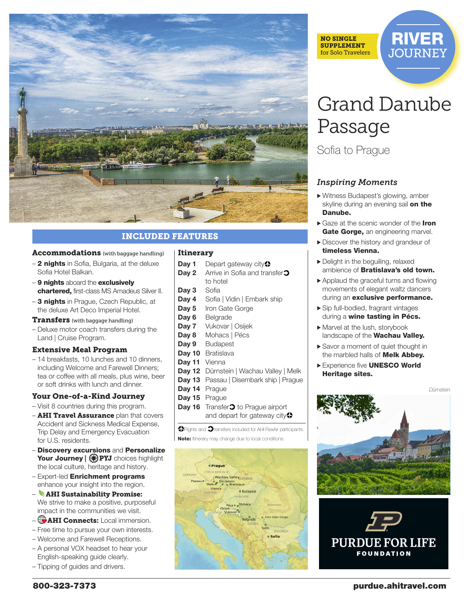

# INCLUDED FEATURES

#### Accommodations (with baggage handling)

- 2 nights in Sofia, Bulgaria, at the deluxe Sofia Hotel Balkan.
- 9 nights aboard the exclusively chartered, first-class MS Amadeus Silver II.
- 3 nights in Prague, Czech Republic, at the deluxe Art Deco Imperial Hotel.

#### **Transfers** (with baggage handling)

– Deluxe motor coach transfers during the Land | Cruise Program.

#### Extensive Meal Program

– 14 breakfasts, 10 lunches and 10 dinners, including Welcome and Farewell Dinners; tea or coffee with all meals, plus wine, beer or soft drinks with lunch and dinner.

#### Your One-of-a-Kind Journey

- Visit 8 countries during this program.
- **AHI Travel Assurance** plan that covers Accident and Sickness Medical Expense, Trip Delay and Emergency Evacuation for U.S. residents.
- Discovery excursions and Personalize Your Journey | **DYJ** choices highlight the local culture, heritage and history.
- Expert-led Enrichment programs enhance your insight into the region.
- AHI Sustainability Promise: We strive to make a positive, purposeful impact in the communities we visit.
- AHI Connects: Local immersion.
- Free time to pursue your own interests.
- Welcome and Farewell Receptions.
- A personal VOX headset to hear your English-speaking guide clearly.
- Tipping of guides and drivers.

#### Itinerary

- **Day 1** Depart gateway city<sup>2</sup>
- **Day 2** Arrive in Sofia and transfer<sup>2</sup> to hotel
- **Day 3** Sofia
- **Day 4** Sofia | Vidin | Embark ship
- **Day 5** Iron Gate Gorge
- Dav 6 Belgrade
- **Day 7** Vukovar | Osijek
- **Day 8** Mohacs | Pécs
- **Day 9** Budapest
- Day 10 Bratislava
- Dav 11 Vienna
- **Day 12** Dürnstein | Wachau Valley | Melk
- **Day 13** Passau | Disembark ship | Prague
- **Day 14** Prague
- **Day 15** Prague
- **Day 16** Transfer<sup>2</sup> to Prague airport and depart for gateway city<sup>2</sup>

**O** Flights and  $\Omega$  transfers included for AHI FlexAir participants. Note: Itinerary may change due to local conditions.





# Grand Danube Passage

Sofia to Prague

# *Inspiring Moments*

- > Witness Budapest's glowing, amber skyline during an evening sail on the Danube.
- ▶ Gaze at the scenic wonder of the Iron Gate Gorge, an engineering marvel.
- > Discover the history and grandeur of timeless Vienna.
- > Delight in the beguiling, relaxed ambience of **Bratislava's old town.**
- > Applaud the graceful turns and flowing movements of elegant waltz dancers during an exclusive performance.
- > Sip full-bodied, fragrant vintages during a wine tasting in Pécs.
- > Marvel at the lush, storybook landscape of the **Wachau Valley.**
- ▶ Savor a moment of quiet thought in the marbled halls of **Melk Abbey.**
- Experience five **UNESCO World** Heritage sites.

*Dürnstein*